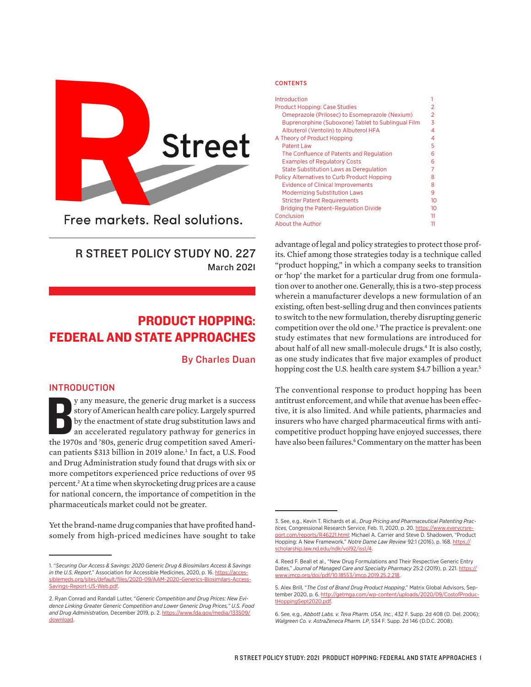

Free markets, Real solutions.

# R STREET POLICY STUDY NO. 227 March 2021

# PRODUCT HOPPING: FEDERAL AND STATE APPROACHES

## By Charles Duan

#### INTRODUCTION

y any measure, the generic drug market is a success story of American health care policy. Largely spurred by the enactment of state drug substitution laws and an accelerated regulatory pathway for generics in the 1970s and y any measure, the generic drug market is a success story of American health care policy. Largely spurred by the enactment of state drug substitution laws and an accelerated regulatory pathway for generics in can patients \$313 billion in 2019 alone.<sup>1</sup> In fact, a U.S. Food and Drug Administration study found that drugs with six or more competitors experienced price reductions of over 95 percent.<sup>2</sup> At a time when skyrocketing drug prices are a cause for national concern, the importance of competition in the pharmaceuticals market could not be greater.

Yet the brand-name drug companies that have profited handsomely from high-priced medicines have sought to take

#### **CONTENTS**

| Introduction                                       |    |
|----------------------------------------------------|----|
| <b>Product Hopping: Case Studies</b>               | 2  |
| Omeprazole (Prilosec) to Esomeprazole (Nexium)     | 2  |
| Buprenorphine (Suboxone) Tablet to Sublingual Film | 3  |
| Albuterol (Ventolin) to Albuterol HFA              | 4  |
| A Theory of Product Hopping                        | 4  |
| <b>Patent Law</b>                                  | 5  |
| The Confluence of Patents and Regulation           | 6  |
| <b>Examples of Regulatory Costs</b>                | 6  |
| <b>State Substitution Laws as Deregulation</b>     | 7  |
| <b>Policy Alternatives to Curb Product Hopping</b> | 8  |
| <b>Evidence of Clinical Improvements</b>           | 8  |
| <b>Modernizing Substitution Laws</b>               | 9  |
| <b>Stricter Patent Requirements</b>                | 10 |
| <b>Bridging the Patent-Regulation Divide</b>       | 10 |
| Conclusion                                         | 11 |
| About the Author                                   | 11 |
|                                                    |    |

advantage of legal and policy strategies to protect those profits. Chief among those strategies today is a technique called "product hopping," in which a company seeks to transition or 'hop' the market for a particular drug from one formulation over to another one. Generally, this is a two-step process wherein a manufacturer develops a new formulation of an existing, often best-selling drug and then convinces patients to switch to the new formulation, thereby disrupting generic competition over the old one.<sup>3</sup> The practice is prevalent: one study estimates that new formulations are introduced for about half of all new small-molecule drugs.<sup>4</sup> It is also costly, as one study indicates that five major examples of product hopping cost the U.S. health care system \$4.7 billion a year.<sup>5</sup>

The conventional response to product hopping has been antitrust enforcement, and while that avenue has been effective, it is also limited. And while patients, pharmacies and insurers who have charged pharmaceutical firms with anticompetitive product hopping have enjoyed successes, there have also been failures.<sup>6</sup> Commentary on the matter has been

<sup>1. &</sup>quot;*Securing Our Access & Savings: 2020 Generic Drug & Biosimilars Access & Savings in the U.S. Report*," Association for Accessible Medicines, 2020, p. 16. [https://acces](https://accessiblemeds.org/sites/default/files/2020-09/AAM-2020-Generics-Biosimilars-Access-Savings-Report-US-Web.pdf)[siblemeds.org/sites/default/files/2020-09/AAM-2020-Generics-Biosimilars-Access-](https://accessiblemeds.org/sites/default/files/2020-09/AAM-2020-Generics-Biosimilars-Access-Savings-Report-US-Web.pdf)[Savings-Report-US-Web.pdf.](https://accessiblemeds.org/sites/default/files/2020-09/AAM-2020-Generics-Biosimilars-Access-Savings-Report-US-Web.pdf)

<sup>2.</sup> Ryan Conrad and Randall Lutter, "*Generic Competition and Drug Prices: New Evidence Linking Greater Generic Competition and Lower Generic Drug Prices," U.S. Food and Drug Administration,* December 2019, p. 2. [https://www.fda.gov/media/133509/](https://www.fda.gov/media/133509/download) [download](https://www.fda.gov/media/133509/download).

<sup>3.</sup> See, e.g., Kevin T. Richards et al., *Drug Pricing and Pharmaceutical Patenting Practices,* Congressional Research Service, Feb. 11, 2020, p. 20. [https://www.everycrsre](https://www.everycrsreport.com/reports/R46221.html)[port.com/reports/R46221.html](https://www.everycrsreport.com/reports/R46221.html); Michael A. Carrier and Steve D. Shadowen, "Product Hopping: A New Framework," *Notre Dame Law Review* 92:1 (2016), p. 168. [https://](https://scholarship.law.nd.edu/ndlr/vol92/iss1/4) [scholarship.law.nd.edu/ndlr/vol92/iss1/4.](https://scholarship.law.nd.edu/ndlr/vol92/iss1/4)

<sup>4.</sup> Reed F. Beall et al., "New Drug Formulations and Their Respective Generic Entry Dates," Journal of Managed Care and Specialty Pharmacy 25:2 (2019), p. 221. [https://](https://www.jmcp.org/doi/pdf/10.18553/jmcp.2019.25.2.218) [www.jmcp.org/doi/pdf/10.18553/jmcp.2019.25.2.218.](https://www.jmcp.org/doi/pdf/10.18553/jmcp.2019.25.2.218)

<sup>5.</sup> Alex Brill, "*The Cost of Brand Drug Product Hopping*," Matrix Global Advisors, September 2020, p. 6. http://getmga.com/wp-content/uplo [tHoppingSept2020.pdf.](http://getmga.com/wp-content/uploads/2020/09/CostofProductHoppingSept2020.pdf)

<sup>6.</sup> See, e.g., *Abbott Labs. v. Teva Pharm. USA, Inc.*, 432 F. Supp. 2d 408 (D. Del. 2006); *Walgreen Co. v. AstraZeneca Pharm. LP*, 534 F. Supp. 2d 146 (D.D.C. 2008).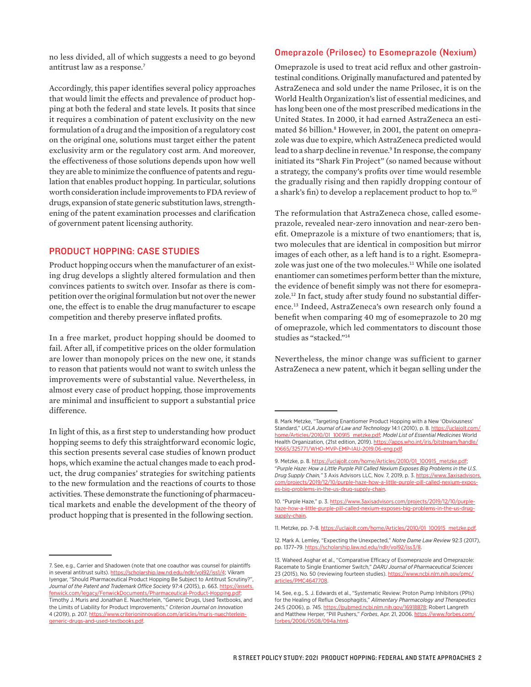no less divided, all of which suggests a need to go beyond antitrust law as a response.<sup>7</sup>

Accordingly, this paper identifies several policy approaches that would limit the effects and prevalence of product hopping at both the federal and state levels. It posits that since it requires a combination of patent exclusivity on the new formulation of a drug and the imposition of a regulatory cost on the original one, solutions must target either the patent exclusivity arm or the regulatory cost arm. And moreover, the effectiveness of those solutions depends upon how well they are able to minimize the confluence of patents and regulation that enables product hopping. In particular, solutions worth consideration include improvements to FDA review of drugs, expansion of state generic substitution laws, strengthening of the patent examination processes and clarification of government patent licensing authority.

#### PRODUCT HOPPING: CASE STUDIES

Product hopping occurs when the manufacturer of an existing drug develops a slightly altered formulation and then convinces patients to switch over. Insofar as there is competition over the original formulation but not over the newer one, the effect is to enable the drug manufacturer to escape competition and thereby preserve inflated profits.

In a free market, product hopping should be doomed to fail. After all, if competitive prices on the older formulation are lower than monopoly prices on the new one, it stands to reason that patients would not want to switch unless the improvements were of substantial value. Nevertheless, in almost every case of product hopping, those improvements are minimal and insufficient to support a substantial price difference.

In light of this, as a first step to understanding how product hopping seems to defy this straightforward economic logic, this section presents several case studies of known product hops, which examine the actual changes made to each product, the drug companies' strategies for switching patients to the new formulation and the reactions of courts to those activities. These demonstrate the functioning of pharmaceutical markets and enable the development of the theory of product hopping that is presented in the following section.

#### Omeprazole (Prilosec) to Esomeprazole (Nexium)

Omeprazole is used to treat acid reflux and other gastrointestinal conditions. Originally manufactured and patented by AstraZeneca and sold under the name Prilosec, it is on the World Health Organization's list of essential medicines, and has long been one of the most prescribed medications in the United States. In 2000, it had earned AstraZeneca an estimated \$6 billion.<sup>8</sup> However, in 2001, the patent on omeprazole was due to expire, which AstraZeneca predicted would lead to a sharp decline in revenue.<sup>9</sup> In response, the company initiated its "Shark Fin Project" (so named because without a strategy, the company's profits over time would resemble the gradually rising and then rapidly dropping contour of a shark's fin) to develop a replacement product to hop to.<sup>10</sup>

The reformulation that AstraZeneca chose, called esomeprazole, revealed near-zero innovation and near-zero benefit. Omeprazole is a mixture of two enantiomers; that is, two molecules that are identical in composition but mirror images of each other, as a left hand is to a right. Esomeprazole was just one of the two molecules.<sup>11</sup> While one isolated enantiomer can sometimes perform better than the mixture, the evidence of benefit simply was not there for esomeprazole.12 In fact, study after study found no substantial difference.<sup>13</sup> Indeed, AstraZeneca's own research only found a benefit when comparing 40 mg of esomeprazole to 20 mg of omeprazole, which led commentators to discount those studies as "stacked."<sup>14</sup>

Nevertheless, the minor change was sufficient to garner AstraZeneca a new patent, which it began selling under the

<sup>7.</sup> See, e.g., Carrier and Shadowen (note that one coauthor was counsel for plaintiffs in several antitrust suits). [https://scholarship.law.nd.edu/ndlr/vol92/iss1/4](https://​scholarship.​law.​nd.​edu/​ndlr/​vol92/​iss1/​4); Vikram Iyengar, "Should Pharmaceutical Product Hopping Be Subject to Antitrust Scrutiny?", Journal of the Patent and Trademark Office Society 97:4 (2015), p. 663. [https://assets.](https://assets.fenwick.com/legacy/FenwickDocuments/Pharmaceutical-Product-Hopping.pdf) [fenwick.com/legacy/FenwickDocuments/Pharmaceutical-Product-Hopping.pdf](https://assets.fenwick.com/legacy/FenwickDocuments/Pharmaceutical-Product-Hopping.pdf); Timothy J. Muris and Jonathan E. Nuechterlein, "Generic Drugs, Used Textbooks, and the Limits of Liability for Product Improvements," *Criterion Journal on Innovation* 4 (2019), p. 207. [https://www.criterioninnovation.com/articles/muris-nuechterlein](https://www.criterioninnovation.com/articles/muris-nuechterlein-generic-drugs-and-used-textbooks.pdf)[generic-drugs-and-used-textbooks.pdf](https://www.criterioninnovation.com/articles/muris-nuechterlein-generic-drugs-and-used-textbooks.pdf).

<sup>8.</sup> Mark Metzke, "Targeting Enantiomer Product Hopping with a New 'Obviousness' Standard," *UCLA Journal of Law and Technology* 14:1 (2010), p. 8. [https://uclajolt.com/](https://uclajolt.com/home/Articles/2010/01_100915_metzke.pdf) [home/Articles/2010/01\\_100915\\_metzke.pdf](https://uclajolt.com/home/Articles/2010/01_100915_metzke.pdf); *Model List of Essential Medicines* World Health Organization, (21st edition, 2019). [https://apps.who.int/iris/bitstream/handle/](https://apps.who.int/iris/bitstream/handle/10665/325771/WHO-MVP-EMP-IAU-2019.06-eng.pdf) [10665/325771/WHO-MVP-EMP-IAU-2019.06-eng.pdf.](https://apps.who.int/iris/bitstream/handle/10665/325771/WHO-MVP-EMP-IAU-2019.06-eng.pdf)

<sup>9.</sup> Metzke, p. 8. [https://uclajolt.com/home/Articles/2010/01\\_100915\\_metzke.pdf](https://uclajolt.com/home/Articles/2010/01_100915_metzke.pdf); "*Purple Haze: How a Little Purple Pill Called Nexium Exposes Big Problems in the U.S. Drug Supply Chain,"* 3 Axis Advisors LLC, Nov. 7, 2019, p. 3. [https://www.3axisadvisors.](https://www.3axisadvisors.com/projects/2019/12/10/purple-haze-how-a-little-purple-pill-called-nexium-exposes-big-problems-in-the-us-drug-supply-chain) [com/projects/2019/12/10/purple-haze-how-a-little-purple-pill-called-nexium-expos](https://www.3axisadvisors.com/projects/2019/12/10/purple-haze-how-a-little-purple-pill-called-nexium-exposes-big-problems-in-the-us-drug-supply-chain)[es-big-problems-in-the-us-drug-supply-chain](https://www.3axisadvisors.com/projects/2019/12/10/purple-haze-how-a-little-purple-pill-called-nexium-exposes-big-problems-in-the-us-drug-supply-chain).

<sup>10. &</sup>quot;Purple Haze," p. 3. [https://www.3axisadvisors.com/projects/2019/12/10/purple](https://www.3axisadvisors.com/projects/2019/12/10/purple-haze-how-a-little-purple-pill-called-nexium-exposes-big-problems-in-the-us-drug-supply-chain)[haze-how-a-little-purple-pill-called-nexium-exposes-big-problems-in-the-us-drug](https://www.3axisadvisors.com/projects/2019/12/10/purple-haze-how-a-little-purple-pill-called-nexium-exposes-big-problems-in-the-us-drug-supply-chain)[supply-chain.](https://www.3axisadvisors.com/projects/2019/12/10/purple-haze-how-a-little-purple-pill-called-nexium-exposes-big-problems-in-the-us-drug-supply-chain)

<sup>11.</sup> Metzke, pp. 7–8. [https://uclajolt.com/home/Articles/2010/01\\_100915\\_metzke.pdf](https://uclajolt.com/home/Articles/2010/01_100915_metzke.pdf).

<sup>12.</sup> Mark A. Lemley, "Expecting the Unexpected," *Notre Dame Law Review* 92:3 (2017), pp. 1377–79. <https://scholarship.law.nd.edu/ndlr/vol92/iss3/8>.

<sup>13.</sup> Waheed Asghar et al., "Comparative Efficacy of Esomeprazole and Omeprazole: Racemate to Single Enantiomer Switch," *DARU Journal of Pharmaceutical Sciences* 23 (2015), No. 50 (reviewing fourteen studies). [https://www.ncbi.nlm.nih.gov/pmc/](https://www.ncbi.nlm.nih.gov/pmc/articles/PMC4647708) [articles/PMC4647708](https://www.ncbi.nlm.nih.gov/pmc/articles/PMC4647708).

<sup>14.</sup> See, e.g., S. J. Edwards et al., "Systematic Review: Proton Pump Inhibitors (PPIs) for the Healing of Reflux Oesophagitis," *Alimentary Pharmacology and Therapeutics* 24:5 (2006), p. 745.<https://pubmed.ncbi.nlm.nih.gov/16918878>; Robert Langreth and Matthew Herper, "Pill Pushers," *Forbes*, Apr. 21, 2006. [https://www.forbes.com/](https://www.forbes.com/forbes/2006/0508/094a.html) [forbes/2006/0508/094a.html](https://www.forbes.com/forbes/2006/0508/094a.html).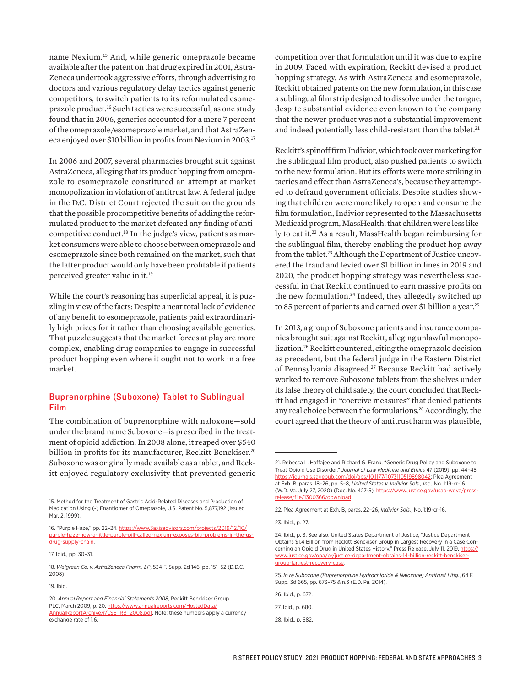name Nexium.<sup>15</sup> And, while generic omeprazole became available after the patent on that drug expired in 2001, Astra-Zeneca undertook aggressive efforts, through advertising to doctors and various regulatory delay tactics against generic competitors, to switch patients to its reformulated esomeprazole product.<sup>16</sup> Such tactics were successful, as one study found that in 2006, generics accounted for a mere 7 percent of the omeprazole/esomeprazole market, and that AstraZeneca enjoyed over \$10 billion in profits from Nexium in 2003.<sup>17</sup>

In 2006 and 2007, several pharmacies brought suit against AstraZeneca, alleging that its product hopping from omeprazole to esomeprazole constituted an attempt at market monopolization in violation of antitrust law. A federal judge in the D.C. District Court rejected the suit on the grounds that the possible procompetitive benefits of adding the reformulated product to the market defeated any finding of anticompetitive conduct.18 In the judge's view, patients as market consumers were able to choose between omeprazole and esomeprazole since both remained on the market, such that the latter product would only have been profitable if patients perceived greater value in it.<sup>19</sup>

While the court's reasoning has superficial appeal, it is puzzling in view of the facts: Despite a near total lack of evidence of any benefit to esomeprazole, patients paid extraordinarily high prices for it rather than choosing available generics. That puzzle suggests that the market forces at play are more complex, enabling drug companies to engage in successful product hopping even where it ought not to work in a free market.

#### Buprenorphine (Suboxone) Tablet to Sublingual Film

The combination of buprenorphine with naloxone—sold under the brand name Suboxone—is prescribed in the treatment of opioid addiction. In 2008 alone, it reaped over \$540 billion in profits for its manufacturer, Reckitt Benckiser.<sup>20</sup> Suboxone was originally made available as a tablet, and Reckitt enjoyed regulatory exclusivity that prevented generic competition over that formulation until it was due to expire in 2009. Faced with expiration, Reckitt devised a product hopping strategy. As with AstraZeneca and esomeprazole, Reckitt obtained patents on the new formulation, in this case a sublingual film strip designed to dissolve under the tongue, despite substantial evidence even known to the company that the newer product was not a substantial improvement and indeed potentially less child-resistant than the tablet.<sup>21</sup>

Reckitt's spinoff firm Indivior, which took over marketing for the sublingual film product, also pushed patients to switch to the new formulation. But its efforts were more striking in tactics and effect than AstraZeneca's, because they attempted to defraud government officials. Despite studies showing that children were more likely to open and consume the film formulation, Indivior represented to the Massachusetts Medicaid program, MassHealth, that children were less likely to eat it.<sup>22</sup> As a result, MassHealth began reimbursing for the sublingual film, thereby enabling the product hop away from the tablet.<sup>23</sup> Although the Department of Justice uncovered the fraud and levied over \$1 billion in fines in 2019 and 2020, the product hopping strategy was nevertheless successful in that Reckitt continued to earn massive profits on the new formulation.<sup>24</sup> Indeed, they allegedly switched up to 85 percent of patients and earned over \$1 billion a year.<sup>25</sup>

In 2013, a group of Suboxone patients and insurance companies brought suit against Reckitt, alleging unlawful monopolization.<sup>26</sup> Reckitt countered, citing the omeprazole decision as precedent, but the federal judge in the Eastern District of Pennsylvania disagreed.<sup>27</sup> Because Reckitt had actively worked to remove Suboxone tablets from the shelves under its false theory of child safety, the court concluded that Reckitt had engaged in "coercive measures" that denied patients any real choice between the formulations.<sup>28</sup> Accordingly, the court agreed that the theory of antitrust harm was plausible,

<sup>15.</sup> Method for the Treatment of Gastric Acid-Related Diseases and Production of Medication Using (-) Enantiomer of Omeprazole, U.S. Patent No. 5,877,192 (issued Mar. 2, 1999).

<sup>16. &</sup>quot;Purple Haze," pp. 22–24. [https://www.3axisadvisors.com/projects/2019/12/10/](https://www.3axisadvisors.com/projects/2019/12/10/purple-haze-how-a-little-purple-pill-called-nexium-exposes-big-problems-in-the-us-drug-supply-chain) [purple-haze-how-a-little-purple-pill-called-nexium-exposes-big-problems-in-the-us](https://www.3axisadvisors.com/projects/2019/12/10/purple-haze-how-a-little-purple-pill-called-nexium-exposes-big-problems-in-the-us-drug-supply-chain)[drug-supply-chain](https://www.3axisadvisors.com/projects/2019/12/10/purple-haze-how-a-little-purple-pill-called-nexium-exposes-big-problems-in-the-us-drug-supply-chain).

<sup>17.</sup> Ibid., pp. 30–31.

<sup>18.</sup> *Walgreen Co. v. AstraZeneca Pharm. LP*, 534 F. Supp. 2d 146, pp. 151–52 (D.D.C. 2008).

<sup>19.</sup> Ibid.

<sup>20.</sup> *Annual Report and Financial Statements 2008,* Reckitt Benckiser Group PLC, March 2009, p. 20. [https://www.annualreports.com/HostedData/](https://www.annualreports.com/HostedData/AnnualReportArchive/r/LSE_RB_2008.pdf) [AnnualReportArchive/r/LSE\\_RB\\_2008.pdf](https://www.annualreports.com/HostedData/AnnualReportArchive/r/LSE_RB_2008.pdf). Note: these numbers apply a currency exchange rate of 1.6.

<sup>21.</sup> Rebecca L. Haffajee and Richard G. Frank, "Generic Drug Policy and Suboxone to Treat Opioid Use Disorder," *Journal of Law Medicine and Ethics* 47 (2019), pp. 44–45. [https://journals.sagepub.com/doi/abs/10.1177/1073110519898042;](https://journals.sagepub.com/doi/abs/10.1177/1073110519898042) Plea Agreement at Exh. B, paras. 18–26, pp. 5–8, *United States v. Indivior Sols., Inc.*, No. 1:19-cr-16 (W.D. Va. July 27, 2020) (Doc. No. 427-5). [https://www.justice.gov/usao-wdva/press](https://www.justice.gov/usao-wdva/press-release/file/1300366/download)[release/file/1300366/download](https://www.justice.gov/usao-wdva/press-release/file/1300366/download).

<sup>22.</sup> Plea Agreement at Exh. B, paras. 22–26, *Indivior Sols.*, No. 1:19-cr-16.

<sup>23.</sup> Ibid., p. 27.

<sup>24.</sup> Ibid., p. 3; See also: United States Department of Justice, "Justice Department Obtains \$1.4 Billion from Reckitt Benckiser Group in Largest Recovery in a Case Concerning an Opioid Drug in United States History," Press Release, July 11, 2019. [https://](https://www.justice.gov/opa/pr/justice-department-obtains-14-billion-reckitt-benckiser-group-largest-recovery-case) [www.justice.gov/opa/pr/justice-department-obtains-14-billion-reckitt-benckiser](https://www.justice.gov/opa/pr/justice-department-obtains-14-billion-reckitt-benckiser-group-largest-recovery-case)[group-largest-recovery-case](https://www.justice.gov/opa/pr/justice-department-obtains-14-billion-reckitt-benckiser-group-largest-recovery-case).

<sup>25.</sup> *In re Suboxone (Buprenorphine Hydrochloride & Naloxone) Antitrust Litig.*, 64 F. Supp. 3d 665, pp. 673–75 & n.3 (E.D. Pa. 2014).

<sup>26.</sup> Ibid., p. 672.

<sup>27.</sup> Ibid., p. 680.

<sup>28.</sup> Ibid., p. 682.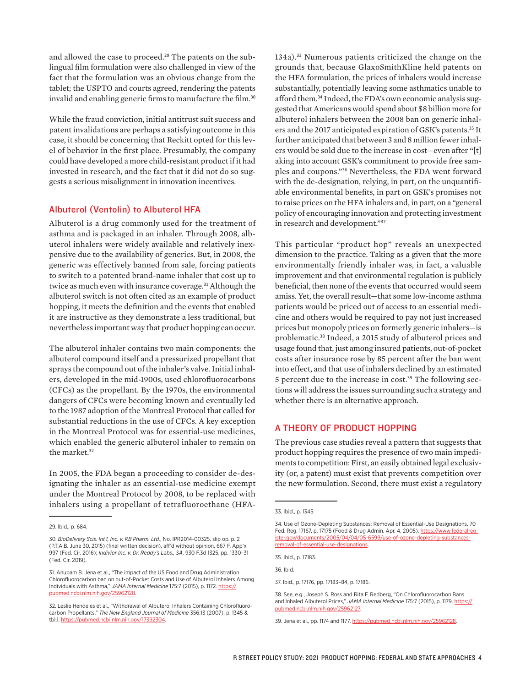and allowed the case to proceed.<sup>29</sup> The patents on the sublingual film formulation were also challenged in view of the fact that the formulation was an obvious change from the tablet; the USPTO and courts agreed, rendering the patents invalid and enabling generic firms to manufacture the film.<sup>30</sup>

While the fraud conviction, initial antitrust suit success and patent invalidations are perhaps a satisfying outcome in this case, it should be concerning that Reckitt opted for this level of behavior in the first place. Presumably, the company could have developed a more child-resistant product if it had invested in research, and the fact that it did not do so suggests a serious misalignment in innovation incentives.

## Albuterol (Ventolin) to Albuterol HFA

Albuterol is a drug commonly used for the treatment of asthma and is packaged in an inhaler. Through 2008, albuterol inhalers were widely available and relatively inexpensive due to the availability of generics. But, in 2008, the generic was effectively banned from sale, forcing patients to switch to a patented brand-name inhaler that cost up to twice as much even with insurance coverage.<sup>31</sup> Although the albuterol switch is not often cited as an example of product hopping, it meets the definition and the events that enabled it are instructive as they demonstrate a less traditional, but nevertheless important way that product hopping can occur.

The albuterol inhaler contains two main components: the albuterol compound itself and a pressurized propellant that sprays the compound out of the inhaler's valve. Initial inhalers, developed in the mid-1900s, used chlorofluorocarbons (CFCs) as the propellant. By the 1970s, the environmental dangers of CFCs were becoming known and eventually led to the 1987 adoption of the Montreal Protocol that called for substantial reductions in the use of CFCs. A key exception in the Montreal Protocol was for essential-use medicines, which enabled the generic albuterol inhaler to remain on the market.<sup>32</sup>

In 2005, the FDA began a proceeding to consider de-designating the inhaler as an essential-use medicine exempt under the Montreal Protocol by 2008, to be replaced with inhalers using a propellant of tetrafluoroethane (HFA-

134a).<sup>33</sup> Numerous patients criticized the change on the grounds that, because GlaxoSmithKline held patents on the HFA formulation, the prices of inhalers would increase substantially, potentially leaving some asthmatics unable to afford them.34 Indeed, the FDA's own economic analysis suggested that Americans would spend about \$8 billion more for albuterol inhalers between the 2008 ban on generic inhalers and the 2017 anticipated expiration of GSK's patents.<sup>35</sup> It further anticipated that between 3 and 8 million fewer inhalers would be sold due to the increase in cost—even after "[t] aking into account GSK's commitment to provide free samples and coupons."<sup>36</sup> Nevertheless, the FDA went forward with the de-designation, relying, in part, on the unquantifiable environmental benefits, in part on GSK's promises not to raise prices on the HFA inhalers and, in part, on a "general policy of encouraging innovation and protecting investment in research and development."<sup>37</sup>

This particular "product hop" reveals an unexpected dimension to the practice. Taking as a given that the more environmentally friendly inhaler was, in fact, a valuable improvement and that environmental regulation is publicly beneficial, then none of the events that occurred would seem amiss. Yet, the overall result—that some low-income asthma patients would be priced out of access to an essential medicine and others would be required to pay not just increased prices but monopoly prices on formerly generic inhalers—is problematic.<sup>38</sup> Indeed, a 2015 study of albuterol prices and usage found that, just among insured patients, out-of-pocket costs after insurance rose by 85 percent after the ban went into effect, and that use of inhalers declined by an estimated 5 percent due to the increase in cost.39 The following sections will address the issues surrounding such a strategy and whether there is an alternative approach.

#### A THEORY OF PRODUCT HOPPING

The previous case studies reveal a pattern that suggests that product hopping requires the presence of two main impediments to competition: First, an easily obtained legal exclusivity (or, a patent) must exist that prevents competition over the new formulation. Second, there must exist a regulatory

35. Ibid., p. 17183.

37. Ibid., p. 17176, pp. 17183–84, p. 17186.

<sup>29.</sup> Ibid., p. 684.

<sup>30.</sup> *BioDelivery Scis. Int'l, Inc. v. RB Pharm. Ltd.*, No. IPR2014-00325, slip op. p. 2 (P.T.A.B. June 30, 2015) (final written decision), aff'd without opinion, 667 F. App'x 997 (Fed. Cir. 2016); *Indivior Inc. v. Dr. Reddy's Labs., SA*, 930 F.3d 1325, pp. 1330–31 (Fed. Cir. 2019).

<sup>31.</sup> Anupam B. Jena et al., "The impact of the US Food and Drug Administration Chlorofluorocarbon ban on out-of-Pocket Costs and Use of Albuterol Inhalers Among Individuals with Asthma," *JAMA Internal Medicine* 175:7 (2015), p. 1172. [https://](https://pubmed.ncbi.nlm.nih.gov/25962128) [pubmed.ncbi.nlm.nih.gov/25962128.](https://pubmed.ncbi.nlm.nih.gov/25962128)

<sup>32.</sup> Leslie Hendeles et al., "Withdrawal of Albuterol Inhalers Containing Chlorofluorocarbon Propellants," *The New England Journal of Medicine* 356:13 (2007), p. 1345 & tbl.1.<https://pubmed.ncbi.nlm.nih.gov/17392304>.

<sup>33.</sup> Ibid., p. 1345.

<sup>34.</sup> Use of Ozone-Depleting Substances; Removal of Essential-Use Designations, 70 Fed. Reg. 17167, p. 17175 (Food & Drug Admin. Apr. 4, 2005). [https://www.federalreg](https://www.federalregister.gov/documents/2005/04/04/05-6599/use-of-ozone-depleting-substances-removal-of-essential-use-designations)[ister.gov/documents/2005/04/04/05-6599/use-of-ozone-depleting-substances](https://www.federalregister.gov/documents/2005/04/04/05-6599/use-of-ozone-depleting-substances-removal-of-essential-use-designations)[removal-of-essential-use-designations](https://www.federalregister.gov/documents/2005/04/04/05-6599/use-of-ozone-depleting-substances-removal-of-essential-use-designations).

<sup>36.</sup> Ibid.

<sup>38.</sup> See, e.g., Joseph S. Ross and Rita F. Redberg, "On Chlorofluorocarbon Bans and Inhaled Albuterol Prices," JAMA Internal Medicine 175:7 (2015), p. 1179. [https://](https://pubmed.ncbi.nlm.nih.gov/25962127) [pubmed.ncbi.nlm.nih.gov/25962127](https://pubmed.ncbi.nlm.nih.gov/25962127).

<sup>39.</sup> Jena et al., pp. 1174 and 1177. [https://pubmed.ncbi.nlm.nih.gov/25962128.](https://pubmed.ncbi.nlm.nih.gov/25962128)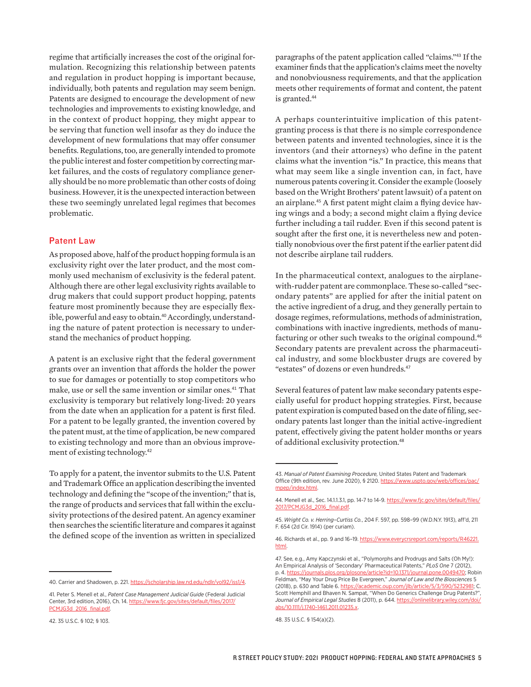regime that artificially increases the cost of the original formulation. Recognizing this relationship between patents and regulation in product hopping is important because, individually, both patents and regulation may seem benign. Patents are designed to encourage the development of new technologies and improvements to existing knowledge, and in the context of product hopping, they might appear to be serving that function well insofar as they do induce the development of new formulations that may offer consumer benefits. Regulations, too, are generally intended to promote the public interest and foster competition by correcting market failures, and the costs of regulatory compliance generally should be no more problematic than other costs of doing business. However, it is the unexpected interaction between these two seemingly unrelated legal regimes that becomes problematic.

#### Patent Law

As proposed above, half of the product hopping formula is an exclusivity right over the later product, and the most commonly used mechanism of exclusivity is the federal patent. Although there are other legal exclusivity rights available to drug makers that could support product hopping, patents feature most prominently because they are especially flexible, powerful and easy to obtain.<sup>40</sup> Accordingly, understanding the nature of patent protection is necessary to understand the mechanics of product hopping.

A patent is an exclusive right that the federal government grants over an invention that affords the holder the power to sue for damages or potentially to stop competitors who make, use or sell the same invention or similar ones.<sup>41</sup> That exclusivity is temporary but relatively long-lived: 20 years from the date when an application for a patent is first filed. For a patent to be legally granted, the invention covered by the patent must, at the time of application, be new compared to existing technology and more than an obvious improvement of existing technology.<sup>42</sup>

To apply for a patent, the inventor submits to the U.S. Patent and Trademark Office an application describing the invented technology and defining the "scope of the invention;" that is, the range of products and services that fall within the exclusivity protections of the desired patent. An agency examiner then searches the scientific literature and compares it against the defined scope of the invention as written in specialized

40. Carrier and Shadowen, p. 221. <https://scholarship.law.nd.edu/ndlr/vol92/iss1/4>.

paragraphs of the patent application called "claims."<sup>43</sup> If the examiner finds that the application's claims meet the novelty and nonobviousness requirements, and that the application meets other requirements of format and content, the patent is granted.<sup>44</sup>

A perhaps counterintuitive implication of this patentgranting process is that there is no simple correspondence between patents and invented technologies, since it is the inventors (and their attorneys) who define in the patent claims what the invention "is." In practice, this means that what may seem like a single invention can, in fact, have numerous patents covering it. Consider the example (loosely based on the Wright Brothers' patent lawsuit) of a patent on an airplane.<sup>45</sup> A first patent might claim a flying device having wings and a body; a second might claim a flying device further including a tail rudder. Even if this second patent is sought after the first one, it is nevertheless new and potentially nonobvious over the first patent if the earlier patent did not describe airplane tail rudders.

In the pharmaceutical context, analogues to the airplanewith-rudder patent are commonplace. These so-called "secondary patents" are applied for after the initial patent on the active ingredient of a drug, and they generally pertain to dosage regimes, reformulations, methods of administration, combinations with inactive ingredients, methods of manufacturing or other such tweaks to the original compound.<sup>46</sup> Secondary patents are prevalent across the pharmaceutical industry, and some blockbuster drugs are covered by "estates" of dozens or even hundreds.<sup>47</sup>

Several features of patent law make secondary patents especially useful for product hopping strategies. First, because patent expiration is computed based on the date of filing, secondary patents last longer than the initial active-ingredient patent, effectively giving the patent holder months or years of additional exclusivity protection.<sup>48</sup>

<sup>41.</sup> Peter S. Menell et al., *Patent Case Management Judicial Guide* (Federal Judicial Center, 3rd edition, 2016), Ch. 14. [https://www.fjc.gov/sites/default/files/2017/](https://www.fjc.gov/sites/default/files/2017/PCMJG3d_2016_final.pdf) [PCMJG3d\\_2016\\_final.pdf.](https://www.fjc.gov/sites/default/files/2017/PCMJG3d_2016_final.pdf)

<sup>42. 35</sup> U.S.C. § 102; § 103.

<sup>43.</sup> *Manual of Patent Examining Procedure,* United States Patent and Trademark Office (9th edition, rev. June 2020), § 2120. [https://www.uspto.gov/web/offices/pac/](https://www.uspto.gov/web/offices/pac/mpep/index.html) [mpep/index.html.](https://www.uspto.gov/web/offices/pac/mpep/index.html)

<sup>44.</sup> Menell et al., Sec. 14.1.1.3.1, pp. 14-7 to 14-9. [https://www.fjc.gov/sites/default/files/](https://www.fjc.gov/sites/default/files/2017/PCMJG3d_2016_final.pdf) [2017/PCMJG3d\\_2016\\_final.pdf](https://www.fjc.gov/sites/default/files/2017/PCMJG3d_2016_final.pdf).

<sup>45.</sup> *Wright Co. v. Herring–Curtiss Co.*, 204 F. 597, pp. 598–99 (W.D.N.Y. 1913), aff'd, 211 F. 654 (2d Cir. 1914) (per curiam).

<sup>46.</sup> Richards et al., pp. 9 and 16-19. [https://www.everycrsreport.com/reports/R46221.](https://​www.​everycrsreport.​com/​reports/​R46221.​html) [html](https://​www.​everycrsreport.​com/​reports/​R46221.​html).

<sup>47.</sup> See, e.g., Amy Kapczynski et al., "Polymorphs and Prodrugs and Salts (Oh My!): An Empirical Analysis of 'Secondary' Pharmaceutical Patents," *PLoS One* 7 (2012), p. 4.<https://journals.plos.org/plosone/article?id=10.1371/journal.pone.0049470>; Robin Feldman, "May Your Drug Price Be Evergreen," *Journal of Law and the Biosciences* 5 (2018), p. 630 and Table 6.<https://academic.oup.com/jlb/article/5/3/590/5232981>; C. Scott Hemphill and Bhaven N. Sampat, "When Do Generics Challenge Drug Patents?", *Journal of Empirical Legal Studies* 8 (2011), p. 644. [https://onlinelibrary.wiley.com/doi/](https://onlinelibrary.wiley.com/doi/abs/10.1111/j.1740-1461.2011.01235.x) [abs/10.1111/j.1740-1461.2011.01235.x.](https://onlinelibrary.wiley.com/doi/abs/10.1111/j.1740-1461.2011.01235.x)

<sup>48. 35</sup> U.S.C. § 154(a)(2).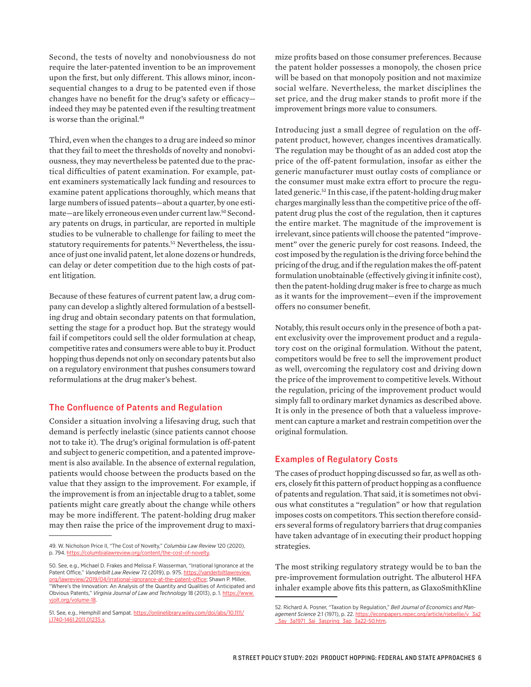Second, the tests of novelty and nonobviousness do not require the later-patented invention to be an improvement upon the first, but only different. This allows minor, inconsequential changes to a drug to be patented even if those changes have no benefit for the drug's safety or efficacy indeed they may be patented even if the resulting treatment is worse than the original.<sup>49</sup>

Third, even when the changes to a drug are indeed so minor that they fail to meet the thresholds of novelty and nonobviousness, they may nevertheless be patented due to the practical difficulties of patent examination. For example, patent examiners systematically lack funding and resources to examine patent applications thoroughly, which means that large numbers of issued patents—about a quarter, by one estimate—are likely erroneous even under current law.50 Secondary patents on drugs, in particular, are reported in multiple studies to be vulnerable to challenge for failing to meet the statutory requirements for patents.<sup>51</sup> Nevertheless, the issuance of just one invalid patent, let alone dozens or hundreds, can delay or deter competition due to the high costs of patent litigation.

Because of these features of current patent law, a drug company can develop a slightly altered formulation of a bestselling drug and obtain secondary patents on that formulation, setting the stage for a product hop. But the strategy would fail if competitors could sell the older formulation at cheap, competitive rates and consumers were able to buy it. Product hopping thus depends not only on secondary patents but also on a regulatory environment that pushes consumers toward reformulations at the drug maker's behest.

#### The Confluence of Patents and Regulation

Consider a situation involving a lifesaving drug, such that demand is perfectly inelastic (since patients cannot choose not to take it). The drug's original formulation is off-patent and subject to generic competition, and a patented improvement is also available. In the absence of external regulation, patients would choose between the products based on the value that they assign to the improvement. For example, if the improvement is from an injectable drug to a tablet, some patients might care greatly about the change while others may be more indifferent. The patent-holding drug maker may then raise the price of the improvement drug to maxi-

mize profits based on those consumer preferences. Because the patent holder possesses a monopoly, the chosen price will be based on that monopoly position and not maximize social welfare. Nevertheless, the market disciplines the set price, and the drug maker stands to profit more if the improvement brings more value to consumers.

Introducing just a small degree of regulation on the offpatent product, however, changes incentives dramatically. The regulation may be thought of as an added cost atop the price of the off-patent formulation, insofar as either the generic manufacturer must outlay costs of compliance or the consumer must make extra effort to procure the regulated generic.<sup>52</sup> In this case, if the patent-holding drug maker charges marginally less than the competitive price of the offpatent drug plus the cost of the regulation, then it captures the entire market. The magnitude of the improvement is irrelevant, since patients will choose the patented "improvement" over the generic purely for cost reasons. Indeed, the cost imposed by the regulation is the driving force behind the pricing of the drug, and if the regulation makes the off-patent formulation unobtainable (effectively giving it infinite cost), then the patent-holding drug maker is free to charge as much as it wants for the improvement—even if the improvement offers no consumer benefit.

Notably, this result occurs only in the presence of both a patent exclusivity over the improvement product and a regulatory cost on the original formulation. Without the patent, competitors would be free to sell the improvement product as well, overcoming the regulatory cost and driving down the price of the improvement to competitive levels. Without the regulation, pricing of the improvement product would simply fall to ordinary market dynamics as described above. It is only in the presence of both that a valueless improvement can capture a market and restrain competition over the original formulation.

#### Examples of Regulatory Costs

The cases of product hopping discussed so far, as well as others, closely fit this pattern of product hopping as a confluence of patents and regulation. That said, it is sometimes not obvious what constitutes a "regulation" or how that regulation imposes costs on competitors. This section therefore considers several forms of regulatory barriers that drug companies have taken advantage of in executing their product hopping strategies.

The most striking regulatory strategy would be to ban the pre-improvement formulation outright. The albuterol HFA inhaler example above fits this pattern, as GlaxoSmithKline

<sup>49.</sup> W. Nicholson Price II, "The Cost of Novelty," *Columbia Law Review* 120 (2020), p. 794.<https://columbialawreview.org/content/the-cost-of-novelty>.

<sup>50.</sup> See, e.g., Michael D. Frakes and Melissa F. Wasserman, "Irrational Ignorance at the Patent Office," Vanderbilt Law Review 72 (2019), p. 975. [https://vanderbiltlawreview.](https://vanderbiltlawreview.org/lawreview/2019/04/irrational-ignorance-at-the-patent-office) [org/lawreview/2019/04/irrational-ignorance-at-the-patent-office](https://vanderbiltlawreview.org/lawreview/2019/04/irrational-ignorance-at-the-patent-office); Shawn P. Miller, "Where's the Innovation: An Analysis of the Quantity and Qualities of Anticipated and Obvious Patents," *Virginia Journal of Law and Technology* 18 (2013), p. 1. [https://www.](https://www.vjolt.org/volume-18) [vjolt.org/volume-18.](https://www.vjolt.org/volume-18)

<sup>51.</sup> See, e.g., Hemphill and Sampat. [https://onlinelibrary.wiley.com/doi/abs/10.1111/](https://onlinelibrary.wiley.com/doi/abs/10.1111/j.1740-1461.2011.01235.x) [j.1740-1461.2011.01235.x.](https://onlinelibrary.wiley.com/doi/abs/10.1111/j.1740-1461.2011.01235.x)

<sup>52.</sup> Richard A. Posner, "Taxation by Regulation," *Bell Journal of Economics and Management Science* 2:1 (1971), p. 22. [https://econpapers.repec.org/article/rjebellje/v\\_3a2](https://econpapers.repec.org/article/rjebellje/v_3a2_3ay_3a1971_3ai_3aspring_3ap_3a22-50.htm) [\\_3ay\\_3a1971\\_3ai\\_3aspring\\_3ap\\_3a22-50.htm.](https://econpapers.repec.org/article/rjebellje/v_3a2_3ay_3a1971_3ai_3aspring_3ap_3a22-50.htm)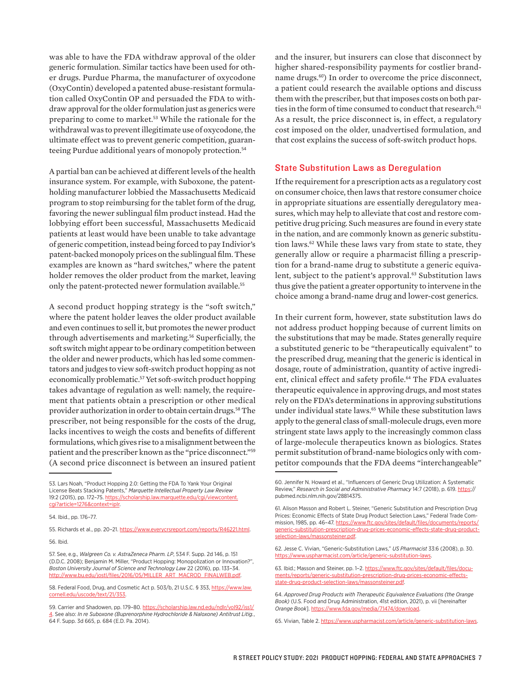was able to have the FDA withdraw approval of the older generic formulation. Similar tactics have been used for other drugs. Purdue Pharma, the manufacturer of oxycodone (OxyContin) developed a patented abuse-resistant formulation called OxyContin OP and persuaded the FDA to withdraw approval for the older formulation just as generics were preparing to come to market.<sup>53</sup> While the rationale for the withdrawal was to prevent illegitimate use of oxycodone, the ultimate effect was to prevent generic competition, guaranteeing Purdue additional years of monopoly protection.<sup>54</sup>

A partial ban can be achieved at different levels of the health insurance system. For example, with Suboxone, the patentholding manufacturer lobbied the Massachusetts Medicaid program to stop reimbursing for the tablet form of the drug, favoring the newer sublingual film product instead. Had the lobbying effort been successful, Massachusetts Medicaid patients at least would have been unable to take advantage of generic competition, instead being forced to pay Indivior's patent-backed monopoly prices on the sublingual film. These examples are known as "hard switches," where the patent holder removes the older product from the market, leaving only the patent-protected newer formulation available.<sup>55</sup>

A second product hopping strategy is the "soft switch," where the patent holder leaves the older product available and even continues to sell it, but promotes the newer product through advertisements and marketing.<sup>56</sup> Superficially, the soft switch might appear to be ordinary competition between the older and newer products, which has led some commentators and judges to view soft-switch product hopping as not economically problematic.<sup>57</sup> Yet soft-switch product hopping takes advantage of regulation as well: namely, the requirement that patients obtain a prescription or other medical provider authorization in order to obtain certain drugs.<sup>58</sup> The prescriber, not being responsible for the costs of the drug, lacks incentives to weigh the costs and benefits of different formulations, which gives rise to a misalignment between the patient and the prescriber known as the "price disconnect."<sup>59</sup> (A second price disconnect is between an insured patient

55. Richards et al., pp. 20-21. [https://www.everycrsreport.com/reports/R46221.html.](https://www.everycrsreport.com/reports/R46221.html) 56. Ibid.

and the insurer, but insurers can close that disconnect by higher shared-responsibility payments for costlier brandname drugs.<sup>60</sup>) In order to overcome the price disconnect, a patient could research the available options and discuss them with the prescriber, but that imposes costs on both parties in the form of time consumed to conduct that research.<sup>61</sup> As a result, the price disconnect is, in effect, a regulatory cost imposed on the older, unadvertised formulation, and that cost explains the success of soft-switch product hops.

#### State Substitution Laws as Deregulation

If the requirement for a prescription acts as a regulatory cost on consumer choice, then laws that restore consumer choice in appropriate situations are essentially deregulatory measures, which may help to alleviate that cost and restore competitive drug pricing. Such measures are found in every state in the nation, and are commonly known as generic substitution laws.<sup>62</sup> While these laws vary from state to state, they generally allow or require a pharmacist filling a prescription for a brand-name drug to substitute a generic equivalent, subject to the patient's approval.<sup>63</sup> Substitution laws thus give the patient a greater opportunity to intervene in the choice among a brand-name drug and lower-cost generics.

In their current form, however, state substitution laws do not address product hopping because of current limits on the substitutions that may be made. States generally require a substituted generic to be "therapeutically equivalent" to the prescribed drug, meaning that the generic is identical in dosage, route of administration, quantity of active ingredient, clinical effect and safety profile.<sup>64</sup> The FDA evaluates therapeutic equivalence in approving drugs, and most states rely on the FDA's determinations in approving substitutions under individual state laws.<sup>65</sup> While these substitution laws apply to the general class of small-molecule drugs, even more stringent state laws apply to the increasingly common class of large-molecule therapeutics known as biologics. States permit substitution of brand-name biologics only with competitor compounds that the FDA deems "interchangeable"

<sup>53.</sup> Lars Noah, "Product Hopping 2.0: Getting the FDA To Yank Your Original License Beats Stacking Patents," *Marquette Intellectual Property Law Review* 19:2 (2015), pp. 172–75. [https://scholarship.law.marquette.edu/cgi/viewcontent.](https://scholarship.law.marquette.edu/cgi/viewcontent.cgi?article=1276&context=iplr) [cgi?article=1276&context=iplr.](https://scholarship.law.marquette.edu/cgi/viewcontent.cgi?article=1276&context=iplr)

<sup>54.</sup> Ibid., pp. 176–77.

<sup>57.</sup> See, e.g., *Walgreen Co. v. AstraZeneca Pharm. LP*, 534 F. Supp. 2d 146, p. 151 (D.D.C. 2008); Benjamin M. Miller, "Product Hopping: Monopolization or Innovation?", *Boston University Journal of Science and Technology Law* 22 (2016), pp. 133–34. [http://www.bu.edu/jostl/files/2016/05/MILLER\\_ART\\_MACROD\\_FINALWEB.pdf](http://www.bu.edu/jostl/files/2016/05/MILLER_ART_MACROD_FINALWEB.pdf).

<sup>58.</sup> Federal Food, Drug, and Cosmetic Act p. 503/b, 21 U.S.C. § 353, [https://www.law.](https://www.law.cornell.edu/uscode/text/21/353) [cornell.edu/uscode/text/21/353](https://www.law.cornell.edu/uscode/text/21/353).

<sup>59.</sup> Carrier and Shadowen, pp. 179-80. [https://scholarship.law.nd.edu/ndlr/vol92/iss1/](https://​scholarship.​law.​nd.​edu/​ndlr/​vol92/​iss1/​4) [4](https://​scholarship.​law.​nd.​edu/​ndlr/​vol92/​iss1/​4). See also: *In re Suboxone (Buprenorphine Hydrochloride & Naloxone) Antitrust Litig.*, 64 F. Supp. 3d 665, p. 684 (E.D. Pa. 2014).

<sup>60.</sup> Jennifer N. Howard et al., "Influencers of Generic Drug Utilization: A Systematic Review," Research in Social and Administrative Pharmacy 14:7 (2018), p. 619. [https:](https://pubmed.ncbi.nlm.nih.gov/28814375)// pubmed.ncbi.nlm.nih.gov/28814375.

<sup>61.</sup> Alison Masson and Robert L. Steiner, "Generic Substitution and Prescription Drug Prices: Economic Effects of State Drug Product Selection Laws," Federal Trade Commission, 1985, pp. 46–47. [https://www.ftc.gov/sites/default/files/documents/reports/](https://www.ftc.gov/sites/default/files/documents/reports/generic-substitution-prescription-drug-prices-economic-effects-state-drug-product-selection-laws/massonsteiner.pdf) [generic-substitution-prescription-drug-prices-economic-effects-state-drug-product](https://www.ftc.gov/sites/default/files/documents/reports/generic-substitution-prescription-drug-prices-economic-effects-state-drug-product-selection-laws/massonsteiner.pdf)[selection-laws/massonsteiner.pdf.](https://www.ftc.gov/sites/default/files/documents/reports/generic-substitution-prescription-drug-prices-economic-effects-state-drug-product-selection-laws/massonsteiner.pdf)

<sup>62.</sup> Jesse C. Vivian, "Generic-Substitution Laws," *US Pharmacist* 33:6 (2008), p. 30. [https://www.uspharmacist.com/article/generic-substitution-laws.](https://www.uspharmacist.com/article/generic-substitution-laws)

<sup>63.</sup> Ibid.; Masson and Steiner, pp. 1–2. [https://www.ftc.gov/sites/default/files/docu](https://www.ftc.gov/sites/default/files/documents/reports/generic-substitution-prescription-drug-prices-economic-effects-state-drug-product-selection-laws/massonsteiner.pdf)[ments/reports/generic-substitution-prescription-drug-prices-economic-effects](https://www.ftc.gov/sites/default/files/documents/reports/generic-substitution-prescription-drug-prices-economic-effects-state-drug-product-selection-laws/massonsteiner.pdf)[state-drug-product-selection-laws/massonsteiner.pdf.](https://www.ftc.gov/sites/default/files/documents/reports/generic-substitution-prescription-drug-prices-economic-effects-state-drug-product-selection-laws/massonsteiner.pdf)

<sup>64.</sup> *Approved Drug Products with Therapeutic Equivalence Evaluations (the Orange Book)* (U.S. Food and Drug Administration, 41st edition, 2021), p. vii [hereinafter *Orange Book*]. [https://www.fda.gov/media/71474/download.](https://​www.​fda.​gov/​media/​71474/​download)

<sup>65.</sup> Vivian, Table 2.<https://www.uspharmacist.com/article/generic-substitution-laws>.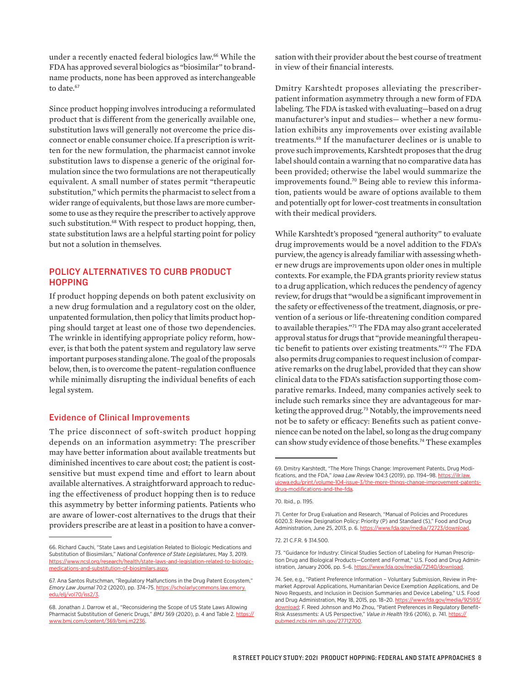under a recently enacted federal biologics law.<sup>66</sup> While the FDA has approved several biologics as "biosimilar" to brandname products, none has been approved as interchangeable to date.<sup>67</sup>

Since product hopping involves introducing a reformulated product that is different from the generically available one, substitution laws will generally not overcome the price disconnect or enable consumer choice. If a prescription is written for the new formulation, the pharmacist cannot invoke substitution laws to dispense a generic of the original formulation since the two formulations are not therapeutically equivalent. A small number of states permit "therapeutic substitution," which permits the pharmacist to select from a wider range of equivalents, but those laws are more cumbersome to use as they require the prescriber to actively approve such substitution.<sup>68</sup> With respect to product hopping, then, state substitution laws are a helpful starting point for policy but not a solution in themselves.

## POLICY ALTERNATIVES TO CURB PRODUCT **HOPPING**

If product hopping depends on both patent exclusivity on a new drug formulation and a regulatory cost on the older, unpatented formulation, then policy that limits product hopping should target at least one of those two dependencies. The wrinkle in identifying appropriate policy reform, however, is that both the patent system and regulatory law serve important purposes standing alone. The goal of the proposals below, then, is to overcome the patent–regulation confluence while minimally disrupting the individual benefits of each legal system.

#### Evidence of Clinical Improvements

The price disconnect of soft-switch product hopping depends on an information asymmetry: The prescriber may have better information about available treatments but diminished incentives to care about cost; the patient is costsensitive but must expend time and effort to learn about available alternatives. A straightforward approach to reducing the effectiveness of product hopping then is to reduce this asymmetry by better informing patients. Patients who are aware of lower-cost alternatives to the drugs that their providers prescribe are at least in a position to have a conver-

sation with their provider about the best course of treatment in view of their financial interests.

Dmitry Karshtedt proposes alleviating the prescriberpatient information asymmetry through a new form of FDA labeling. The FDA is tasked with evaluating—based on a drug manufacturer's input and studies— whether a new formulation exhibits any improvements over existing available treatments.<sup>69</sup> If the manufacturer declines or is unable to prove such improvements, Karshtedt proposes that the drug label should contain a warning that no comparative data has been provided; otherwise the label would summarize the improvements found.70 Being able to review this information, patients would be aware of options available to them and potentially opt for lower-cost treatments in consultation with their medical providers.

While Karshtedt's proposed "general authority" to evaluate drug improvements would be a novel addition to the FDA's purview, the agency is already familiar with assessing whether new drugs are improvements upon older ones in multiple contexts. For example, the FDA grants priority review status to a drug application, which reduces the pendency of agency review, for drugs that "would be a significant improvement in the safety or effectiveness of the treatment, diagnosis, or prevention of a serious or life-threatening condition compared to available therapies."<sup>71</sup> The FDA may also grant accelerated approval status for drugs that "provide meaningful therapeutic benefit to patients over existing treatments."<sup>72</sup> The FDA also permits drug companies to request inclusion of comparative remarks on the drug label, provided that they can show clinical data to the FDA's satisfaction supporting those comparative remarks. Indeed, many companies actively seek to include such remarks since they are advantageous for marketing the approved drug.<sup>73</sup> Notably, the improvements need not be to safety or efficacy: Benefits such as patient convenience can be noted on the label, so long as the drug company can show study evidence of those benefits.<sup>74</sup> These examples

72. 21 C.F.R. § 314.500.

<sup>66.</sup> Richard Cauchi, "State Laws and Legislation Related to Biologic Medications and Substitution of Biosimilars," *National Conference of State Legislatures*, May 3, 2019. [https://www.ncsl.org/research/health/state-laws-and-legislation-related-to-biologic](https://www.ncsl.org/research/health/state-laws-and-legislation-related-to-biologic-medications-and-substitution-of-biosimilars.aspx)[medications-and-substitution-of-biosimilars.aspx.](https://www.ncsl.org/research/health/state-laws-and-legislation-related-to-biologic-medications-and-substitution-of-biosimilars.aspx)

<sup>67.</sup> Ana Santos Rutschman, "Regulatory Malfunctions in the Drug Patent Ecosystem," *Emory Law Journal* 70:2 (2020), pp. 374–75. [https://scholarlycommons.law.emory.](https://​scholarlycommons.​law.​emory.​edu/​elj/​vol70/​iss2/​3) [edu/elj/vol70/iss2/3](https://​scholarlycommons.​law.​emory.​edu/​elj/​vol70/​iss2/​3).

<sup>68.</sup> Jonathan J. Darrow et al., "Reconsidering the Scope of US State Laws Allowing Pharmacist Substitution of Generic Drugs," *BMJ* 369 (2020), p. 4 and Table 2. [https://](https://www.bmj.com/content/369/bmj.m2236) [www.bmj.com/content/369/bmj.m2236](https://www.bmj.com/content/369/bmj.m2236).

<sup>69.</sup> Dmitry Karshtedt, "The More Things Change: Improvement Patents, Drug Modifications, and the FDA," *Iowa Law Review* 104:3 (2019), pp. 1194-98. [https://ilr.law.](https://ilr.law.uiowa.edu/print/volume-104-issue-3/the-more-things-change-improvement-patents-drug-modifications-and-the-fda) [uiowa.edu/print/volume-104-issue-3/the-more-things-change-improvement-patents](https://ilr.law.uiowa.edu/print/volume-104-issue-3/the-more-things-change-improvement-patents-drug-modifications-and-the-fda)[drug-modifications-and-the-fda](https://ilr.law.uiowa.edu/print/volume-104-issue-3/the-more-things-change-improvement-patents-drug-modifications-and-the-fda).

<sup>70.</sup> Ibid., p. 1195.

<sup>71.</sup> Center for Drug Evaluation and Research, "Manual of Policies and Procedures 6020.3: Review Designation Policy: Priority (P) and Standard (S)," Food and Drug Administration, June 25, 2013, p. 6. [https://www.fda.gov/media/72723/download.](https://www.fda.gov/media/72723/download)

<sup>73. &</sup>quot;Guidance for Industry: Clinical Studies Section of Labeling for Human Prescription Drug and Biological Products—Content and Format," U.S. Food and Drug Administration, January 2006, pp. 5-6. https://www.fda.gov/media/72140/download

<sup>74.</sup> See, e.g., "Patient Preference Information – Voluntary Submission, Review in Premarket Approval Applications, Humanitarian Device Exemption Applications, and De Novo Requests, and Inclusion in Decision Summaries and Device Labeling," U.S. Food and Drug Administration, May 18, 2015, pp. 18–20. [https://www.fda.gov/media/92593/](https://www.fda.gov/media/92593/download) [download;](https://www.fda.gov/media/92593/download) F. Reed Johnson and Mo Zhou, "Patient Preferences in Regulatory Benefit-Risk Assessments: A US Perspective," *Value in Health* 19:6 (2016), p. 741. [https://](https://pubmed.ncbi.nlm.nih.gov/27712700) [pubmed.ncbi.nlm.nih.gov/27712700](https://pubmed.ncbi.nlm.nih.gov/27712700).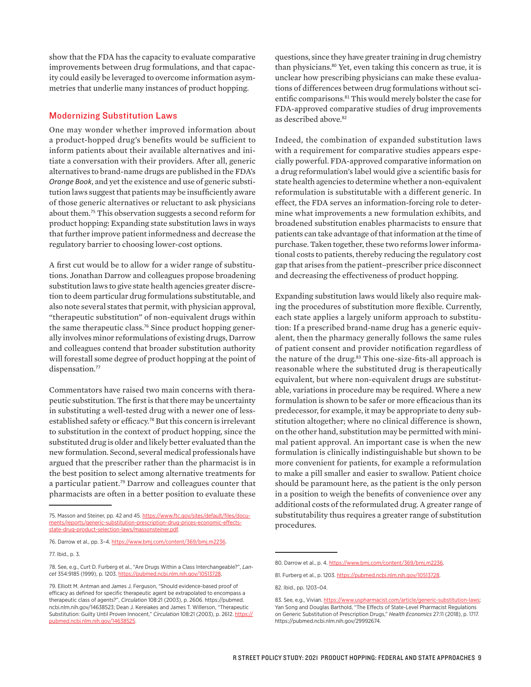show that the FDA has the capacity to evaluate comparative improvements between drug formulations, and that capacity could easily be leveraged to overcome information asymmetries that underlie many instances of product hopping.

#### Modernizing Substitution Laws

One may wonder whether improved information about a product-hopped drug's benefits would be sufficient to inform patients about their available alternatives and initiate a conversation with their providers. After all, generic alternatives to brand-name drugs are published in the FDA's *Orange Book*, and yet the existence and use of generic substitution laws suggest that patients may be insufficiently aware of those generic alternatives or reluctant to ask physicians about them.<sup>75</sup> This observation suggests a second reform for product hopping: Expanding state substitution laws in ways that further improve patient informedness and decrease the regulatory barrier to choosing lower-cost options.

A first cut would be to allow for a wider range of substitutions. Jonathan Darrow and colleagues propose broadening substitution laws to give state health agencies greater discretion to deem particular drug formulations substitutable, and also note several states that permit, with physician approval, "therapeutic substitution" of non-equivalent drugs within the same therapeutic class.<sup>76</sup> Since product hopping generally involves minor reformulations of existing drugs, Darrow and colleagues contend that broader substitution authority will forestall some degree of product hopping at the point of dispensation.<sup>77</sup>

Commentators have raised two main concerns with therapeutic substitution. The first is that there may be uncertainty in substituting a well-tested drug with a newer one of lessestablished safety or efficacy.<sup>78</sup> But this concern is irrelevant to substitution in the context of product hopping, since the substituted drug is older and likely better evaluated than the new formulation. Second, several medical professionals have argued that the prescriber rather than the pharmacist is in the best position to select among alternative treatments for a particular patient.<sup>79</sup> Darrow and colleagues counter that pharmacists are often in a better position to evaluate these

questions, since they have greater training in drug chemistry than physicians.<sup>80</sup> Yet, even taking this concern as true, it is unclear how prescribing physicians can make these evaluations of differences between drug formulations without scientific comparisons.<sup>81</sup> This would merely bolster the case for FDA-approved comparative studies of drug improvements as described above.<sup>82</sup>

Indeed, the combination of expanded substitution laws with a requirement for comparative studies appears especially powerful. FDA-approved comparative information on a drug reformulation's label would give a scientific basis for state health agencies to determine whether a non-equivalent reformulation is substitutable with a different generic. In effect, the FDA serves an information-forcing role to determine what improvements a new formulation exhibits, and broadened substitution enables pharmacists to ensure that patients can take advantage of that information at the time of purchase. Taken together, these two reforms lower informational costs to patients, thereby reducing the regulatory cost gap that arises from the patient–prescriber price disconnect and decreasing the effectiveness of product hopping.

Expanding substitution laws would likely also require making the procedures of substitution more flexible. Currently, each state applies a largely uniform approach to substitution: If a prescribed brand-name drug has a generic equivalent, then the pharmacy generally follows the same rules of patient consent and provider notification regardless of the nature of the drug.<sup>83</sup> This one-size-fits-all approach is reasonable where the substituted drug is therapeutically equivalent, but where non-equivalent drugs are substitutable, variations in procedure may be required. Where a new formulation is shown to be safer or more efficacious than its predecessor, for example, it may be appropriate to deny substitution altogether; where no clinical difference is shown, on the other hand, substitution may be permitted with minimal patient approval. An important case is when the new formulation is clinically indistinguishable but shown to be more convenient for patients, for example a reformulation to make a pill smaller and easier to swallow. Patient choice should be paramount here, as the patient is the only person in a position to weigh the benefits of convenience over any additional costs of the reformulated drug. A greater range of substitutability thus requires a greater range of substitution procedures.

<sup>75.</sup> Masson and Steiner, pp. 42 and 45. [https://www.ftc.gov/sites/default/files/docu](https://www.ftc.gov/sites/default/files/documents/reports/generic-substitution-prescription-drug-prices-economic-effects-state-drug-product-selection-laws/massonsteiner.pdf)[ments/reports/generic-substitution-prescription-drug-prices-economic-effects](https://www.ftc.gov/sites/default/files/documents/reports/generic-substitution-prescription-drug-prices-economic-effects-state-drug-product-selection-laws/massonsteiner.pdf)[state-drug-product-selection-laws/massonsteiner.pdf](https://www.ftc.gov/sites/default/files/documents/reports/generic-substitution-prescription-drug-prices-economic-effects-state-drug-product-selection-laws/massonsteiner.pdf).

<sup>76.</sup> Darrow et al., pp. 3-4. <https://www.bmj.com/content/369/bmj.m2236>.

<sup>77.</sup> Ibid., p. 3.

<sup>78.</sup> See, e.g., Curt D. Furberg et al., "Are Drugs Within a Class Interchangeable?", *Lancet* 354:9185 (1999), p. 1203. [https://pubmed.ncbi.nlm.nih.gov/10513728.](https://pubmed.ncbi.nlm.nih.gov/10513728)

<sup>79.</sup> Elliott M. Antman and James J. Ferguson, "Should evidence-based proof of efficacy as defined for specific therapeutic agent be extrapolated to encompass a therapeutic class of agents?", *Circulation* 108:21 (2003), p. 2606. https://pubmed. ncbi.nlm.nih.gov/14638523; Dean J. Kereiakes and James T. Willerson, "Therapeutic Substitution: Guilty Until Proven Innocent," *Circulation* 108:21 (2003), p. 2612. [https://](https://pubmed.ncbi.nlm.nih.gov/14638525) [pubmed.ncbi.nlm.nih.gov/14638525.](https://pubmed.ncbi.nlm.nih.gov/14638525)

<sup>80.</sup> Darrow et al., p. 4. [https://www.bmj.com/content/369/bmj.m2236.](https://​www.​bmj.​com/​content/​369/​bmj.​m2236)

<sup>81.</sup> Furberg et al., p. 1203. [https://pubmed.ncbi.nlm.nih.gov/10513728.](https://pubmed.ncbi.nlm.nih.gov/10513728)

<sup>82.</sup> Ibid., pp. 1203–04.

<sup>83.</sup> See, e.g., Vivian.<https://www.uspharmacist.com/article/generic-substitution-laws>; Yan Song and Douglas Barthold, "The Effects of State-Level Pharmacist Regulations on Generic Substitution of Prescription Drugs," *Health Economics* 27:11 (2018), p. 1717. https://pubmed.ncbi.nlm.nih.gov/29992674.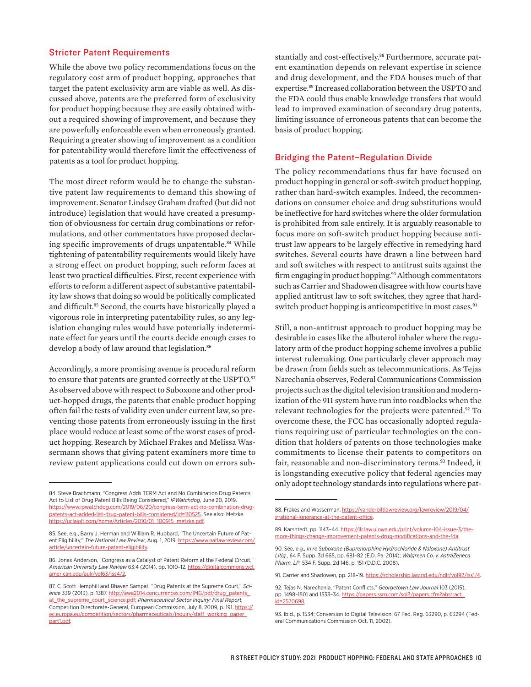#### Stricter Patent Requirements

While the above two policy recommendations focus on the regulatory cost arm of product hopping, approaches that target the patent exclusivity arm are viable as well. As discussed above, patents are the preferred form of exclusivity for product hopping because they are easily obtained without a required showing of improvement, and because they are powerfully enforceable even when erroneously granted. Requiring a greater showing of improvement as a condition for patentability would therefore limit the effectiveness of patents as a tool for product hopping.

The most direct reform would be to change the substantive patent law requirements to demand this showing of improvement. Senator Lindsey Graham drafted (but did not introduce) legislation that would have created a presumption of obviousness for certain drug combinations or reformulations, and other commentators have proposed declaring specific improvements of drugs unpatentable.<sup>84</sup> While tightening of patentability requirements would likely have a strong effect on product hopping, such reform faces at least two practical difficulties. First, recent experience with efforts to reform a different aspect of substantive patentability law shows that doing so would be politically complicated and difficult.<sup>85</sup> Second, the courts have historically played a vigorous role in interpreting patentability rules, so any legislation changing rules would have potentially indeterminate effect for years until the courts decide enough cases to develop a body of law around that legislation.<sup>86</sup>

Accordingly, a more promising avenue is procedural reform to ensure that patents are granted correctly at the USPTO.<sup>87</sup> As observed above with respect to Suboxone and other product-hopped drugs, the patents that enable product hopping often fail the tests of validity even under current law, so preventing those patents from erroneously issuing in the first place would reduce at least some of the worst cases of product hopping. Research by Michael Frakes and Melissa Wassermann shows that giving patent examiners more time to review patent applications could cut down on errors substantially and cost-effectively.88 Furthermore, accurate patent examination depends on relevant expertise in science and drug development, and the FDA houses much of that expertise.<sup>89</sup> Increased collaboration between the USPTO and the FDA could thus enable knowledge transfers that would lead to improved examination of secondary drug patents, limiting issuance of erroneous patents that can become the basis of product hopping.

#### Bridging the Patent–Regulation Divide

The policy recommendations thus far have focused on product hopping in general or soft-switch product hopping, rather than hard-switch examples. Indeed, the recommendations on consumer choice and drug substitutions would be ineffective for hard switches where the older formulation is prohibited from sale entirely. It is arguably reasonable to focus more on soft-switch product hopping because antitrust law appears to be largely effective in remedying hard switches. Several courts have drawn a line between hard and soft switches with respect to antitrust suits against the firm engaging in product hopping.<sup>90</sup> Although commentators such as Carrier and Shadowen disagree with how courts have applied antitrust law to soft switches, they agree that hardswitch product hopping is anticompetitive in most cases.<sup>91</sup>

Still, a non-antitrust approach to product hopping may be desirable in cases like the albuterol inhaler where the regulatory arm of the product hopping scheme involves a public interest rulemaking. One particularly clever approach may be drawn from fields such as telecommunications. As Tejas Narechania observes, Federal Communications Commission projects such as the digital television transition and modernization of the 911 system have run into roadblocks when the relevant technologies for the projects were patented.<sup>92</sup> To overcome these, the FCC has occasionally adopted regulations requiring use of particular technologies on the condition that holders of patents on those technologies make commitments to license their patents to competitors on fair, reasonable and non-discriminatory terms.<sup>93</sup> Indeed, it is longstanding executive policy that federal agencies may only adopt technology standards into regulations where pat-

<sup>84.</sup> Steve Brachmann, "Congress Adds TERM Act and No Combination Drug Patents Act to List of Drug Patent Bills Being Considered," *IPWatchdog*, June 20, 2019. [https://www.ipwatchdog.com/2019/06/20/congress-term-act-no-combination-drug](https://www.ipwatchdog.com/2019/06/20/congress-term-act-no-combination-drug-patents-act-added-list-drug-patent-bills-considered/id=110525)[patents-act-added-list-drug-patent-bills-considered/id=110525.](https://www.ipwatchdog.com/2019/06/20/congress-term-act-no-combination-drug-patents-act-added-list-drug-patent-bills-considered/id=110525) See also: Metzke. [https://uclajolt.com/home/Articles/2010/01\\_100915\\_metzke.pdf.](https://uclajolt.com/home/Articles/2010/01_100915_metzke.pdf)

<sup>85.</sup> See, e.g., Barry J. Herman and William R. Hubbard, "The Uncertain Future of Patent Eligibility," The National Law Review, Aug. 1, 2019. [https://www.natlawreview.com/](https://www.natlawreview.com/article/uncertain-future-patent-eligibility) [article/uncertain-future-patent-eligibility.](https://www.natlawreview.com/article/uncertain-future-patent-eligibility)

<sup>86.</sup> Jonas Anderson, "Congress as a Catalyst of Patent Reform at the Federal Circuit," *American University Law Review* 63:4 (2014), pp. 1010–12. [https://digitalcommons.wcl.](https://digitalcommons.wcl.american.edu/aulr/vol63/iss4/2) [american.edu/aulr/vol63/iss4/2](https://digitalcommons.wcl.american.edu/aulr/vol63/iss4/2).

<sup>87.</sup> C. Scott Hemphill and Bhaven Sampat, "Drug Patents at the Supreme Court," *Science* 339 (2013), p. 1387. [http://awa2014.concurrences.com/IMG/pdf/drug\\_patents\\_](http://awa2014.concurrences.com/IMG/pdf/drug_patents_at_the_supreme_court_science.pdf) [at\\_the\\_supreme\\_court\\_science.pdf;](http://awa2014.concurrences.com/IMG/pdf/drug_patents_at_the_supreme_court_science.pdf) *Pharmaceutical Sector Inquiry: Final Report,*  Competition Directorate-General, European Commission, July 8, 2009, p. 191. [https://](https://ec.europa.eu/competition/sectors/pharmaceuticals/inquiry/staff_working_paper_part1.pdf) [ec.europa.eu/competition/sectors/pharmaceuticals/inquiry/staff\\_working\\_paper\\_](https://ec.europa.eu/competition/sectors/pharmaceuticals/inquiry/staff_working_paper_part1.pdf) [part1.pdf.](https://ec.europa.eu/competition/sectors/pharmaceuticals/inquiry/staff_working_paper_part1.pdf)

<sup>88.</sup> Frakes and Wasserman. [https://vanderbiltlawreview.org/lawreview/2019/04/](https://vanderbiltlawreview.org/lawreview/2019/04/irrational-ignorance-at-the-patent-office) [irrational-ignorance-at-the-patent-office.](https://vanderbiltlawreview.org/lawreview/2019/04/irrational-ignorance-at-the-patent-office)

<sup>89.</sup> Karshtedt, pp. 1143–44. [https://ilr.law.uiowa.edu/print/volume-104-issue-3/the](https://ilr.law.uiowa.edu/print/volume-104-issue-3/the-more-things-change-improvement-patents-drug-modifications-and-the-fda)[more-things-change-improvement-patents-drug-modifications-and-the-fda.](https://ilr.law.uiowa.edu/print/volume-104-issue-3/the-more-things-change-improvement-patents-drug-modifications-and-the-fda)

<sup>90.</sup> See, e.g., *In re Suboxone (Buprenorphine Hydrochloride & Naloxone) Antitrust Litig.*, 64 F. Supp. 3d 665, pp. 681–82 (E.D. Pa. 2014); *Walgreen Co. v. AstraZeneca Pharm. LP*, 534 F. Supp. 2d 146, p. 151 (D.D.C. 2008).

<sup>91.</sup> Carrier and Shadowen, pp. 218–19. [https://scholarship.law.nd.edu/ndlr/vol92/iss1/4.](https://scholarship.law.nd.edu/ndlr/vol92/iss1/4)

<sup>92.</sup> Tejas N. Narechania, "Patent Conflicts," *Georgetown Law Journal* 103 (2015), pp. 1498–1501 and 1533–34. [https://papers.ssrn.com/sol3/papers.cfm?abstract\\_](https://papers.ssrn.com/sol3/papers.cfm?abstract_id=2520698) [id=2520698.](https://papers.ssrn.com/sol3/papers.cfm?abstract_id=2520698)

<sup>93.</sup> Ibid., p. 1534; Conversion to Digital Television, 67 Fed. Reg. 63290, p. 63294 (Federal Communications Commission Oct. 11, 2002).